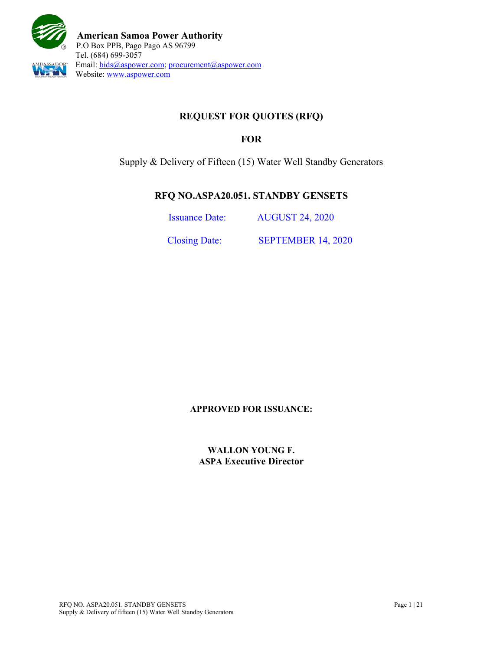

# **REQUEST FOR QUOTES (RFQ)**

**FOR** 

Supply & Delivery of Fifteen (15) Water Well Standby Generators

# **RFQ NO.ASPA20.051. STANDBY GENSETS**

Issuance Date: AUGUST 24, 2020

Closing Date: SEPTEMBER 14, 2020

# **APPROVED FOR ISSUANCE:**

**WALLON YOUNG F. ASPA Executive Director**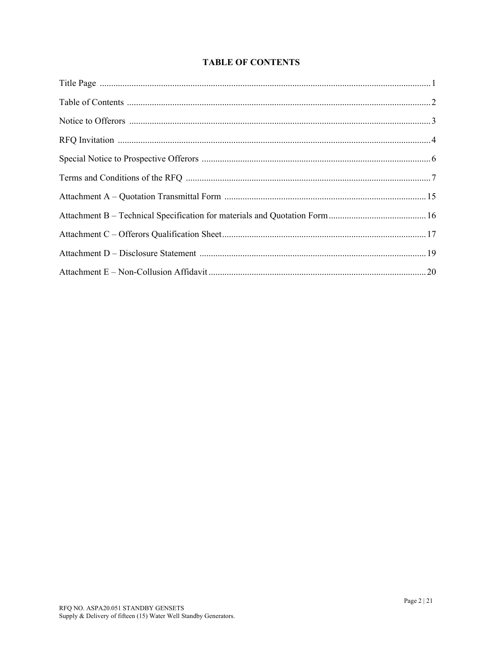## **TABLE OF CONTENTS**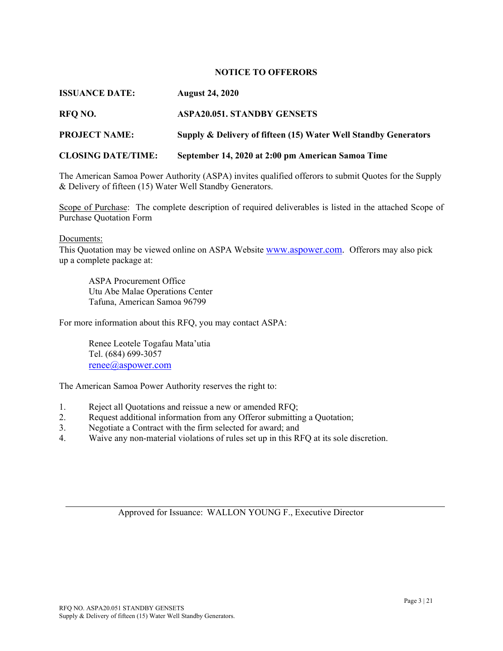#### **NOTICE TO OFFERORS**

| <b>ISSUANCE DATE:</b>     | <b>August 24, 2020</b>                                          |
|---------------------------|-----------------------------------------------------------------|
| RFQ NO.                   | <b>ASPA20.051. STANDBY GENSETS</b>                              |
| <b>PROJECT NAME:</b>      | Supply & Delivery of fifteen (15) Water Well Standby Generators |
| <b>CLOSING DATE/TIME:</b> | September 14, 2020 at 2:00 pm American Samoa Time               |

The American Samoa Power Authority (ASPA) invites qualified offerors to submit Quotes for the Supply & Delivery of fifteen (15) Water Well Standby Generators.

Scope of Purchase: The complete description of required deliverables is listed in the attached Scope of Purchase Quotation Form

Documents:

This Quotation may be viewed online on ASPA Website www.aspower.com. Offerors may also pick up a complete package at:

ASPA Procurement Office Utu Abe Malae Operations Center Tafuna, American Samoa 96799

For more information about this RFQ, you may contact ASPA:

 Renee Leotele Togafau Mata'utia Tel. (684) 699-3057 renee@aspower.com

The American Samoa Power Authority reserves the right to:

- 1. Reject all Quotations and reissue a new or amended RFQ;
- 2. Request additional information from any Offeror submitting a Quotation;
- 3. Negotiate a Contract with the firm selected for award; and
- 4. Waive any non-material violations of rules set up in this RFQ at its sole discretion.

Approved for Issuance: WALLON YOUNG F., Executive Director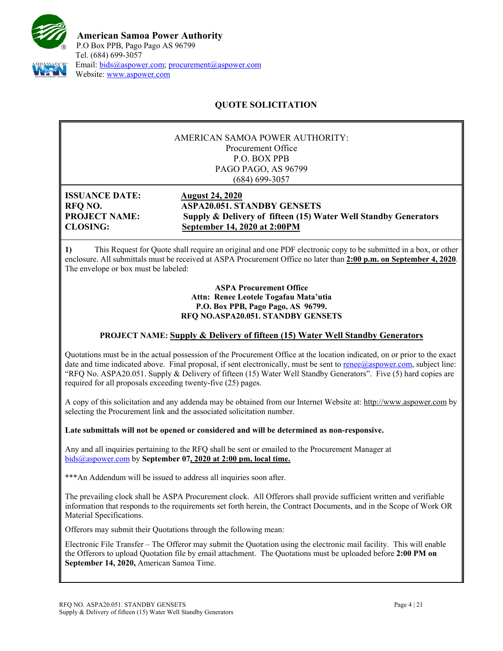

# **QUOTE SOLICITATION**

#### AMERICAN SAMOA POWER AUTHORITY: Procurement Office P.O. BOX PPB PAGO PAGO, AS 96799 (684) 699-3057

**ISSUANCE DATE: August 24, 2020** 

**RFQ NO. ASPA20.051. STANDBY GENSETS PROJECT NAME: Supply & Delivery of fifteen (15) Water Well Standby Generators CLOSING: September 14, 2020 at 2:00PM**

**1)** This Request for Quote shall require an original and one PDF electronic copy to be submitted in a box, or other enclosure. All submittals must be received at ASPA Procurement Office no later than **2:00 p.m. on September 4, 2020**. The envelope or box must be labeled:

> **ASPA Procurement Office Attn: Renee Leotele Togafau Mata'utia P.O. Box PPB, Pago Pago, AS 96799. RFQ NO.ASPA20.051. STANDBY GENSETS**

### **PROJECT NAME: Supply & Delivery of fifteen (15) Water Well Standby Generators**

Quotations must be in the actual possession of the Procurement Office at the location indicated, on or prior to the exact date and time indicated above. Final proposal, if sent electronically, must be sent to renee@aspower.com, subject line: "RFQ No. ASPA20.051. Supply & Delivery of fifteen (15) Water Well Standby Generators". Five (5) hard copies are required for all proposals exceeding twenty-five (25) pages.

A copy of this solicitation and any addenda may be obtained from our Internet Website at: http://www.aspower.com by selecting the Procurement link and the associated solicitation number.

**Late submittals will not be opened or considered and will be determined as non-responsive.** 

Any and all inquiries pertaining to the RFQ shall be sent or emailed to the Procurement Manager at bids@aspower.com by **September 07, 2020 at 2:00 pm, local time.** 

\*\*\*An Addendum will be issued to address all inquiries soon after.

The prevailing clock shall be ASPA Procurement clock. All Offerors shall provide sufficient written and verifiable information that responds to the requirements set forth herein, the Contract Documents, and in the Scope of Work OR Material Specifications.

Offerors may submit their Quotations through the following mean:

Electronic File Transfer – The Offeror may submit the Quotation using the electronic mail facility. This will enable the Offerors to upload Quotation file by email attachment. The Quotations must be uploaded before **2:00 PM on September 14, 2020,** American Samoa Time.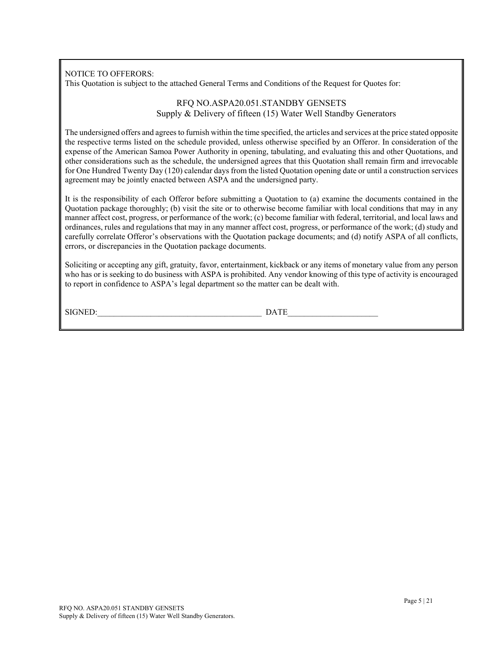NOTICE TO OFFERORS: This Quotation is subject to the attached General Terms and Conditions of the Request for Quotes for:

#### RFQ NO.ASPA20.051.STANDBY GENSETS Supply & Delivery of fifteen (15) Water Well Standby Generators

The undersigned offers and agrees to furnish within the time specified, the articles and services at the price stated opposite the respective terms listed on the schedule provided, unless otherwise specified by an Offeror. In consideration of the expense of the American Samoa Power Authority in opening, tabulating, and evaluating this and other Quotations, and other considerations such as the schedule, the undersigned agrees that this Quotation shall remain firm and irrevocable for One Hundred Twenty Day (120) calendar days from the listed Quotation opening date or until a construction services agreement may be jointly enacted between ASPA and the undersigned party.

It is the responsibility of each Offeror before submitting a Quotation to (a) examine the documents contained in the Quotation package thoroughly; (b) visit the site or to otherwise become familiar with local conditions that may in any manner affect cost, progress, or performance of the work; (c) become familiar with federal, territorial, and local laws and ordinances, rules and regulations that may in any manner affect cost, progress, or performance of the work; (d) study and carefully correlate Offeror's observations with the Quotation package documents; and (d) notify ASPA of all conflicts, errors, or discrepancies in the Quotation package documents.

Soliciting or accepting any gift, gratuity, favor, entertainment, kickback or any items of monetary value from any person who has or is seeking to do business with ASPA is prohibited. Any vendor knowing of this type of activity is encouraged to report in confidence to ASPA's legal department so the matter can be dealt with.

SIGNED:\_\_\_\_\_\_\_\_\_\_\_\_\_\_\_\_\_\_\_\_\_\_\_\_\_\_\_\_\_\_\_\_\_\_\_\_\_\_\_\_ DATE\_\_\_\_\_\_\_\_\_\_\_\_\_\_\_\_\_\_\_\_\_\_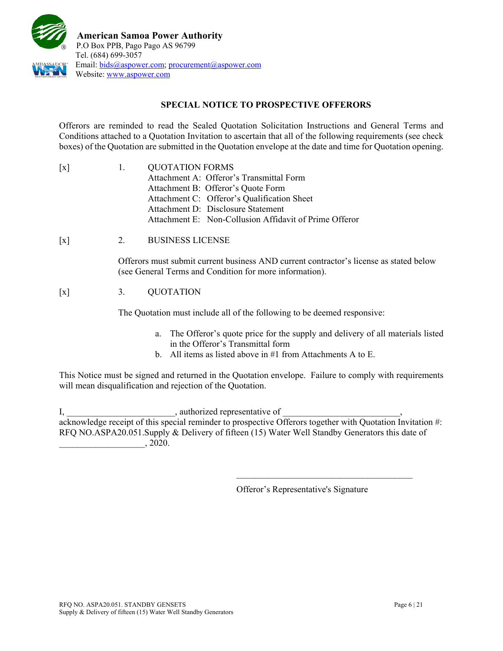

# **SPECIAL NOTICE TO PROSPECTIVE OFFERORS**

Offerors are reminded to read the Sealed Quotation Solicitation Instructions and General Terms and Conditions attached to a Quotation Invitation to ascertain that all of the following requirements (see check boxes) of the Quotation are submitted in the Quotation envelope at the date and time for Quotation opening.

| $\lceil x \rceil$ | $\mathbf{1}$ .                              | <b>QUOTATION FORMS</b>                                 |  |
|-------------------|---------------------------------------------|--------------------------------------------------------|--|
|                   |                                             | Attachment A: Offeror's Transmittal Form               |  |
|                   |                                             | Attachment B: Offeror's Quote Form                     |  |
|                   | Attachment C: Offeror's Qualification Sheet |                                                        |  |
|                   |                                             | Attachment D: Disclosure Statement                     |  |
|                   |                                             | Attachment E: Non-Collusion Affidavit of Prime Offeror |  |

[x] 2. BUSINESS LICENSE

 Offerors must submit current business AND current contractor's license as stated below (see General Terms and Condition for more information).

## [x] 3. QUOTATION

The Quotation must include all of the following to be deemed responsive:

- a. The Offeror's quote price for the supply and delivery of all materials listed in the Offeror's Transmittal form
- b. All items as listed above in #1 from Attachments A to E.

This Notice must be signed and returned in the Quotation envelope. Failure to comply with requirements will mean disqualification and rejection of the Quotation.

I, \_\_\_\_\_\_\_\_\_\_\_\_\_\_\_\_\_\_\_\_\_\_\_\_\_\_\_, authorized representative of acknowledge receipt of this special reminder to prospective Offerors together with Quotation Invitation #: RFQ NO.ASPA20.051.Supply & Delivery of fifteen (15) Water Well Standby Generators this date of \_\_\_\_\_\_\_\_\_\_\_\_\_\_\_\_\_\_\_, 2020.

Offeror's Representative's Signature

 $\mathcal{L}_\text{max}$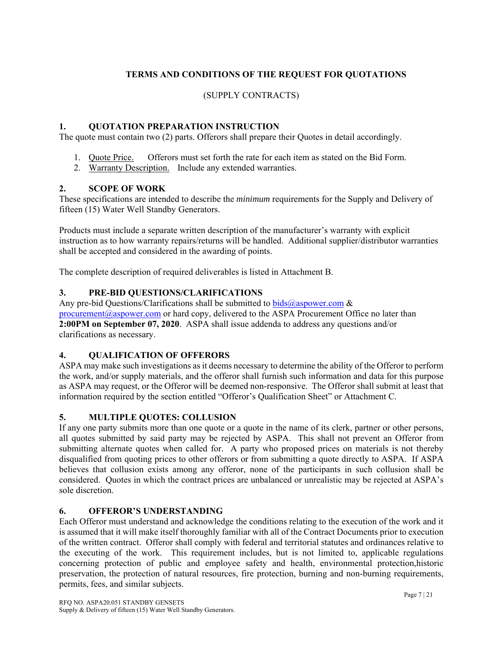# **TERMS AND CONDITIONS OF THE REQUEST FOR QUOTATIONS**

### (SUPPLY CONTRACTS)

### **1. QUOTATION PREPARATION INSTRUCTION**

The quote must contain two (2) parts. Offerors shall prepare their Quotes in detail accordingly.

- 1. Quote Price. Offerors must set forth the rate for each item as stated on the Bid Form.
- 2. Warranty Description. Include any extended warranties.

### **2. SCOPE OF WORK**

These specifications are intended to describe the *minimum* requirements for the Supply and Delivery of fifteen (15) Water Well Standby Generators.

Products must include a separate written description of the manufacturer's warranty with explicit instruction as to how warranty repairs/returns will be handled. Additional supplier/distributor warranties shall be accepted and considered in the awarding of points.

The complete description of required deliverables is listed in Attachment B.

### **3. PRE-BID QUESTIONS/CLARIFICATIONS**

Any pre-bid Questions/Clarifications shall be submitted to  $bids@aspower.com$  & procurement@aspower.com or hard copy, delivered to the ASPA Procurement Office no later than **2:00PM on September 07, 2020**. ASPA shall issue addenda to address any questions and/or clarifications as necessary.

### **4. QUALIFICATION OF OFFERORS**

ASPA may make such investigations as it deems necessary to determine the ability of the Offeror to perform the work, and/or supply materials, and the offeror shall furnish such information and data for this purpose as ASPA may request, or the Offeror will be deemed non-responsive. The Offeror shall submit at least that information required by the section entitled "Offeror's Qualification Sheet" or Attachment C.

### **5. MULTIPLE QUOTES: COLLUSION**

If any one party submits more than one quote or a quote in the name of its clerk, partner or other persons, all quotes submitted by said party may be rejected by ASPA. This shall not prevent an Offeror from submitting alternate quotes when called for. A party who proposed prices on materials is not thereby disqualified from quoting prices to other offerors or from submitting a quote directly to ASPA. If ASPA believes that collusion exists among any offeror, none of the participants in such collusion shall be considered. Quotes in which the contract prices are unbalanced or unrealistic may be rejected at ASPA's sole discretion.

### **6. OFFEROR'S UNDERSTANDING**

Each Offeror must understand and acknowledge the conditions relating to the execution of the work and it is assumed that it will make itself thoroughly familiar with all of the Contract Documents prior to execution of the written contract. Offeror shall comply with federal and territorial statutes and ordinances relative to the executing of the work. This requirement includes, but is not limited to, applicable regulations concerning protection of public and employee safety and health, environmental protection,historic preservation, the protection of natural resources, fire protection, burning and non-burning requirements, permits, fees, and similar subjects.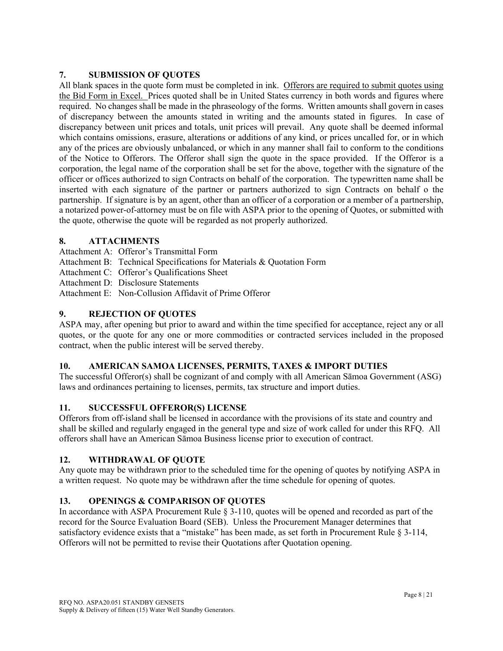### **7. SUBMISSION OF QUOTES**

All blank spaces in the quote form must be completed in ink. Offerors are required to submit quotes using the Bid Form in Excel. Prices quoted shall be in United States currency in both words and figures where required. No changes shall be made in the phraseology of the forms. Written amounts shall govern in cases of discrepancy between the amounts stated in writing and the amounts stated in figures. In case of discrepancy between unit prices and totals, unit prices will prevail. Any quote shall be deemed informal which contains omissions, erasure, alterations or additions of any kind, or prices uncalled for, or in which any of the prices are obviously unbalanced, or which in any manner shall fail to conform to the conditions of the Notice to Offerors. The Offeror shall sign the quote in the space provided. If the Offeror is a corporation, the legal name of the corporation shall be set for the above, together with the signature of the officer or offices authorized to sign Contracts on behalf of the corporation. The typewritten name shall be inserted with each signature of the partner or partners authorized to sign Contracts on behalf o the partnership. If signature is by an agent, other than an officer of a corporation or a member of a partnership, a notarized power-of-attorney must be on file with ASPA prior to the opening of Quotes, or submitted with the quote, otherwise the quote will be regarded as not properly authorized.

### **8. ATTACHMENTS**

- Attachment A: Offeror's Transmittal Form
- Attachment B: Technical Specifications for Materials & Quotation Form
- Attachment C: Offeror's Qualifications Sheet
- Attachment D: Disclosure Statements
- Attachment E: Non-Collusion Affidavit of Prime Offeror

## **9. REJECTION OF QUOTES**

ASPA may, after opening but prior to award and within the time specified for acceptance, reject any or all quotes, or the quote for any one or more commodities or contracted services included in the proposed contract, when the public interest will be served thereby.

## **10. AMERICAN SAMOA LICENSES, PERMITS, TAXES & IMPORT DUTIES**

The successful Offeror(s) shall be cognizant of and comply with all American Sāmoa Government (ASG) laws and ordinances pertaining to licenses, permits, tax structure and import duties.

## **11. SUCCESSFUL OFFEROR(S) LICENSE**

Offerors from off-island shall be licensed in accordance with the provisions of its state and country and shall be skilled and regularly engaged in the general type and size of work called for under this RFQ. All offerors shall have an American Sāmoa Business license prior to execution of contract.

## **12. WITHDRAWAL OF QUOTE**

Any quote may be withdrawn prior to the scheduled time for the opening of quotes by notifying ASPA in a written request. No quote may be withdrawn after the time schedule for opening of quotes.

## **13. OPENINGS & COMPARISON OF QUOTES**

In accordance with ASPA Procurement Rule § 3-110, quotes will be opened and recorded as part of the record for the Source Evaluation Board (SEB). Unless the Procurement Manager determines that satisfactory evidence exists that a "mistake" has been made, as set forth in Procurement Rule § 3-114, Offerors will not be permitted to revise their Quotations after Quotation opening.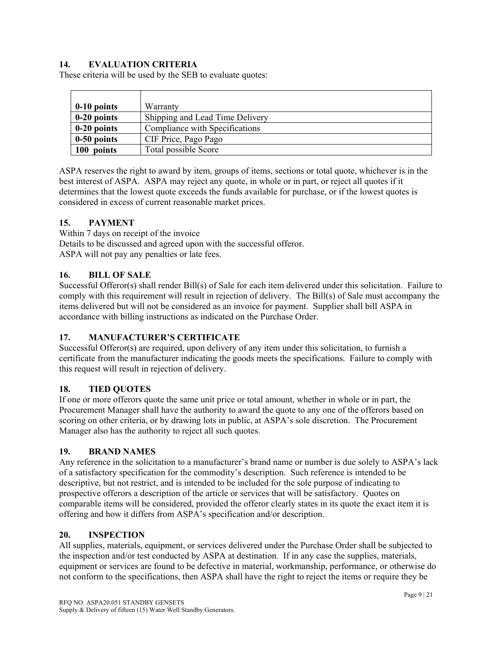## **14. EVALUATION CRITERIA**

These criteria will be used by the SEB to evaluate quotes:

| $0-10$ points        | Warranty                        |
|----------------------|---------------------------------|
| $0-20$ points        | Shipping and Lead Time Delivery |
| $0-20$ points        | Compliance with Specifications  |
| $0-50$ points        | CIF Price, Pago Pago            |
| points<br><b>100</b> | Total possible Score            |

ASPA reserves the right to award by item, groups of items, sections or total quote, whichever is in the best interest of ASPA. ASPA may reject any quote, in whole or in part, or reject all quotes if it determines that the lowest quote exceeds the funds available for purchase, or if the lowest quotes is considered in excess of current reasonable market prices.

### **15. PAYMENT**

Within 7 days on receipt of the invoice Details to be discussed and agreed upon with the successful offeror. ASPA will not pay any penalties or late fees.

### **16. BILL OF SALE**

Successful Offeror(s) shall render Bill(s) of Sale for each item delivered under this solicitation. Failure to comply with this requirement will result in rejection of delivery. The Bill(s) of Sale must accompany the items delivered but will not be considered as an invoice for payment. Supplier shall bill ASPA in accordance with billing instructions as indicated on the Purchase Order.

## **17. MANUFACTURER'S CERTIFICATE**

Successful Offeror(s) are required, upon delivery of any item under this solicitation, to furnish a certificate from the manufacturer indicating the goods meets the specifications. Failure to comply with this request will result in rejection of delivery.

## **18. TIED QUOTES**

If one or more offerors quote the same unit price or total amount, whether in whole or in part, the Procurement Manager shall have the authority to award the quote to any one of the offerors based on scoring on other criteria, or by drawing lots in public, at ASPA's sole discretion. The Procurement Manager also has the authority to reject all such quotes.

### **19. BRAND NAMES**

Any reference in the solicitation to a manufacturer's brand name or number is due solely to ASPA's lack of a satisfactory specification for the commodity's description. Such reference is intended to be descriptive, but not restrict, and is intended to be included for the sole purpose of indicating to prospective offerors a description of the article or services that will be satisfactory. Quotes on comparable items will be considered, provided the offeror clearly states in its quote the exact item it is offering and how it differs from ASPA's specification and/or description.

### **20. INSPECTION**

All supplies, materials, equipment, or services delivered under the Purchase Order shall be subjected to the inspection and/or test conducted by ASPA at destination. If in any case the supplies, materials, equipment or services are found to be defective in material, workmanship, performance, or otherwise do not conform to the specifications, then ASPA shall have the right to reject the items or require they be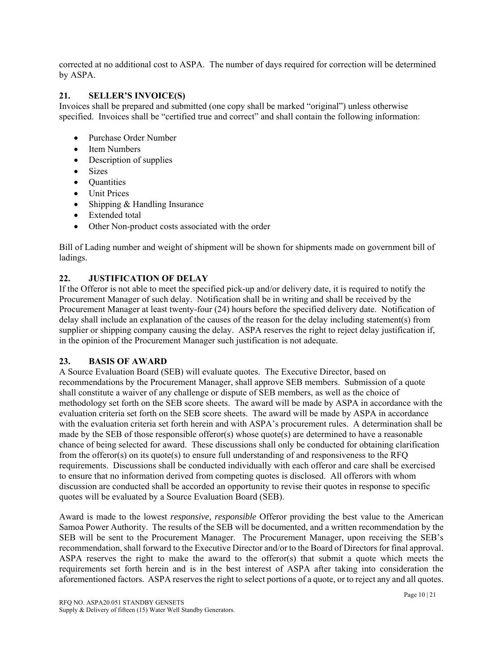corrected at no additional cost to ASPA. The number of days required for correction will be determined by ASPA.

## **21. SELLER'S INVOICE(S)**

Invoices shall be prepared and submitted (one copy shall be marked "original") unless otherwise specified. Invoices shall be "certified true and correct" and shall contain the following information:

- Purchase Order Number
- Item Numbers
- Description of supplies
- Sizes
- Ouantities
- Unit Prices
- Shipping & Handling Insurance
- Extended total
- Other Non-product costs associated with the order

Bill of Lading number and weight of shipment will be shown for shipments made on government bill of ladings.

### **22. JUSTIFICATION OF DELAY**

If the Offeror is not able to meet the specified pick-up and/or delivery date, it is required to notify the Procurement Manager of such delay. Notification shall be in writing and shall be received by the Procurement Manager at least twenty-four (24) hours before the specified delivery date. Notification of delay shall include an explanation of the causes of the reason for the delay including statement(s) from supplier or shipping company causing the delay. ASPA reserves the right to reject delay justification if, in the opinion of the Procurement Manager such justification is not adequate.

### **23. BASIS OF AWARD**

A Source Evaluation Board (SEB) will evaluate quotes. The Executive Director, based on recommendations by the Procurement Manager, shall approve SEB members. Submission of a quote shall constitute a waiver of any challenge or dispute of SEB members, as well as the choice of methodology set forth on the SEB score sheets. The award will be made by ASPA in accordance with the evaluation criteria set forth on the SEB score sheets. The award will be made by ASPA in accordance with the evaluation criteria set forth herein and with ASPA's procurement rules. A determination shall be made by the SEB of those responsible offeror(s) whose quote(s) are determined to have a reasonable chance of being selected for award. These discussions shall only be conducted for obtaining clarification from the offeror(s) on its quote(s) to ensure full understanding of and responsiveness to the RFQ requirements. Discussions shall be conducted individually with each offeror and care shall be exercised to ensure that no information derived from competing quotes is disclosed. All offerors with whom discussion are conducted shall be accorded an opportunity to revise their quotes in response to specific quotes will be evaluated by a Source Evaluation Board (SEB).

Award is made to the lowest *responsive, responsible* Offeror providing the best value to the American Samoa Power Authority. The results of the SEB will be documented, and a written recommendation by the SEB will be sent to the Procurement Manager. The Procurement Manager, upon receiving the SEB's recommendation, shall forward to the Executive Director and/or to the Board of Directors for final approval. ASPA reserves the right to make the award to the offeror(s) that submit a quote which meets the requirements set forth herein and is in the best interest of ASPA after taking into consideration the aforementioned factors. ASPA reserves the right to select portions of a quote, or to reject any and all quotes.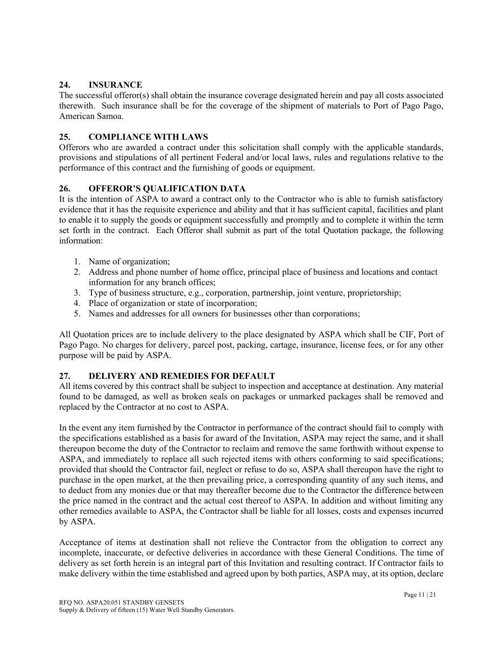### **24. INSURANCE**

The successful offeror(s) shall obtain the insurance coverage designated herein and pay all costs associated therewith. Such insurance shall be for the coverage of the shipment of materials to Port of Pago Pago, American Samoa.

### **25. COMPLIANCE WITH LAWS**

Offerors who are awarded a contract under this solicitation shall comply with the applicable standards, provisions and stipulations of all pertinent Federal and/or local laws, rules and regulations relative to the performance of this contract and the furnishing of goods or equipment.

### **26. OFFEROR'S QUALIFICATION DATA**

It is the intention of ASPA to award a contract only to the Contractor who is able to furnish satisfactory evidence that it has the requisite experience and ability and that it has sufficient capital, facilities and plant to enable it to supply the goods or equipment successfully and promptly and to complete it within the term set forth in the contract. Each Offeror shall submit as part of the total Quotation package, the following information:

- 1. Name of organization;
- 2. Address and phone number of home office, principal place of business and locations and contact information for any branch offices;
- 3. Type of business structure, e.g., corporation, partnership, joint venture, proprietorship;
- 4. Place of organization or state of incorporation;
- 5. Names and addresses for all owners for businesses other than corporations;

All Quotation prices are to include delivery to the place designated by ASPA which shall be CIF, Port of Pago Pago. No charges for delivery, parcel post, packing, cartage, insurance, license fees, or for any other purpose will be paid by ASPA.

## **27. DELIVERY AND REMEDIES FOR DEFAULT**

All items covered by this contract shall be subject to inspection and acceptance at destination. Any material found to be damaged, as well as broken seals on packages or unmarked packages shall be removed and replaced by the Contractor at no cost to ASPA.

In the event any item furnished by the Contractor in performance of the contract should fail to comply with the specifications established as a basis for award of the Invitation, ASPA may reject the same, and it shall thereupon become the duty of the Contractor to reclaim and remove the same forthwith without expense to ASPA, and immediately to replace all such rejected items with others conforming to said specifications; provided that should the Contractor fail, neglect or refuse to do so, ASPA shall thereupon have the right to purchase in the open market, at the then prevailing price, a corresponding quantity of any such items, and to deduct from any monies due or that may thereafter become due to the Contractor the difference between the price named in the contract and the actual cost thereof to ASPA. In addition and without limiting any other remedies available to ASPA, the Contractor shall be liable for all losses, costs and expenses incurred by ASPA.

Acceptance of items at destination shall not relieve the Contractor from the obligation to correct any incomplete, inaccurate, or defective deliveries in accordance with these General Conditions. The time of delivery as set forth herein is an integral part of this Invitation and resulting contract. If Contractor fails to make delivery within the time established and agreed upon by both parties, ASPA may, at its option, declare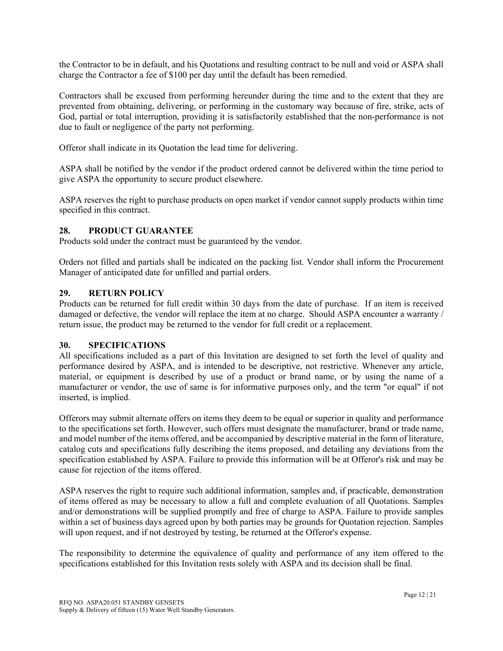the Contractor to be in default, and his Quotations and resulting contract to be null and void or ASPA shall charge the Contractor a fee of \$100 per day until the default has been remedied.

Contractors shall be excused from performing hereunder during the time and to the extent that they are prevented from obtaining, delivering, or performing in the customary way because of fire, strike, acts of God, partial or total interruption, providing it is satisfactorily established that the non-performance is not due to fault or negligence of the party not performing.

Offeror shall indicate in its Quotation the lead time for delivering.

ASPA shall be notified by the vendor if the product ordered cannot be delivered within the time period to give ASPA the opportunity to secure product elsewhere.

ASPA reserves the right to purchase products on open market if vendor cannot supply products within time specified in this contract.

### **28. PRODUCT GUARANTEE**

Products sold under the contract must be guaranteed by the vendor.

Orders not filled and partials shall be indicated on the packing list. Vendor shall inform the Procurement Manager of anticipated date for unfilled and partial orders.

### **29. RETURN POLICY**

Products can be returned for full credit within 30 days from the date of purchase. If an item is received damaged or defective, the vendor will replace the item at no charge. Should ASPA encounter a warranty / return issue, the product may be returned to the vendor for full credit or a replacement.

### **30. SPECIFICATIONS**

All specifications included as a part of this Invitation are designed to set forth the level of quality and performance desired by ASPA, and is intended to be descriptive, not restrictive. Whenever any article, material, or equipment is described by use of a product or brand name, or by using the name of a manufacturer or vendor, the use of same is for informative purposes only, and the term "or equal" if not inserted, is implied.

Offerors may submit alternate offers on items they deem to be equal or superior in quality and performance to the specifications set forth. However, such offers must designate the manufacturer, brand or trade name, and model number of the items offered, and be accompanied by descriptive material in the form of literature, catalog cuts and specifications fully describing the items proposed, and detailing any deviations from the specification established by ASPA. Failure to provide this information will be at Offeror's risk and may be cause for rejection of the items offered.

ASPA reserves the right to require such additional information, samples and, if practicable, demonstration of items offered as may be necessary to allow a full and complete evaluation of all Quotations. Samples and/or demonstrations will be supplied promptly and free of charge to ASPA. Failure to provide samples within a set of business days agreed upon by both parties may be grounds for Quotation rejection. Samples will upon request, and if not destroyed by testing, be returned at the Offeror's expense.

The responsibility to determine the equivalence of quality and performance of any item offered to the specifications established for this Invitation rests solely with ASPA and its decision shall be final.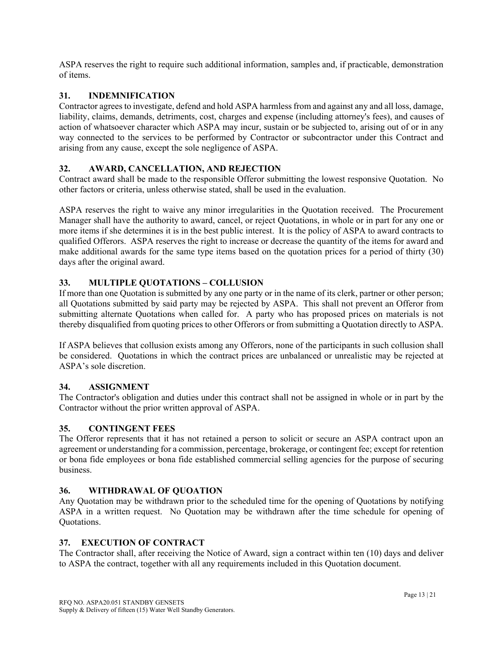ASPA reserves the right to require such additional information, samples and, if practicable, demonstration of items.

## **31. INDEMNIFICATION**

Contractor agrees to investigate, defend and hold ASPA harmless from and against any and all loss, damage, liability, claims, demands, detriments, cost, charges and expense (including attorney's fees), and causes of action of whatsoever character which ASPA may incur, sustain or be subjected to, arising out of or in any way connected to the services to be performed by Contractor or subcontractor under this Contract and arising from any cause, except the sole negligence of ASPA.

### **32. AWARD, CANCELLATION, AND REJECTION**

Contract award shall be made to the responsible Offeror submitting the lowest responsive Quotation. No other factors or criteria, unless otherwise stated, shall be used in the evaluation.

ASPA reserves the right to waive any minor irregularities in the Quotation received. The Procurement Manager shall have the authority to award, cancel, or reject Quotations, in whole or in part for any one or more items if she determines it is in the best public interest. It is the policy of ASPA to award contracts to qualified Offerors. ASPA reserves the right to increase or decrease the quantity of the items for award and make additional awards for the same type items based on the quotation prices for a period of thirty (30) days after the original award.

## **33. MULTIPLE QUOTATIONS – COLLUSION**

If more than one Quotation is submitted by any one party or in the name of its clerk, partner or other person; all Quotations submitted by said party may be rejected by ASPA. This shall not prevent an Offeror from submitting alternate Quotations when called for. A party who has proposed prices on materials is not thereby disqualified from quoting prices to other Offerors or from submitting a Quotation directly to ASPA.

If ASPA believes that collusion exists among any Offerors, none of the participants in such collusion shall be considered. Quotations in which the contract prices are unbalanced or unrealistic may be rejected at ASPA's sole discretion.

### **34. ASSIGNMENT**

The Contractor's obligation and duties under this contract shall not be assigned in whole or in part by the Contractor without the prior written approval of ASPA.

### **35. CONTINGENT FEES**

The Offeror represents that it has not retained a person to solicit or secure an ASPA contract upon an agreement or understanding for a commission, percentage, brokerage, or contingent fee; except for retention or bona fide employees or bona fide established commercial selling agencies for the purpose of securing business.

### **36. WITHDRAWAL OF QUOATION**

Any Quotation may be withdrawn prior to the scheduled time for the opening of Quotations by notifying ASPA in a written request. No Quotation may be withdrawn after the time schedule for opening of Quotations.

### **37. EXECUTION OF CONTRACT**

The Contractor shall, after receiving the Notice of Award, sign a contract within ten (10) days and deliver to ASPA the contract, together with all any requirements included in this Quotation document.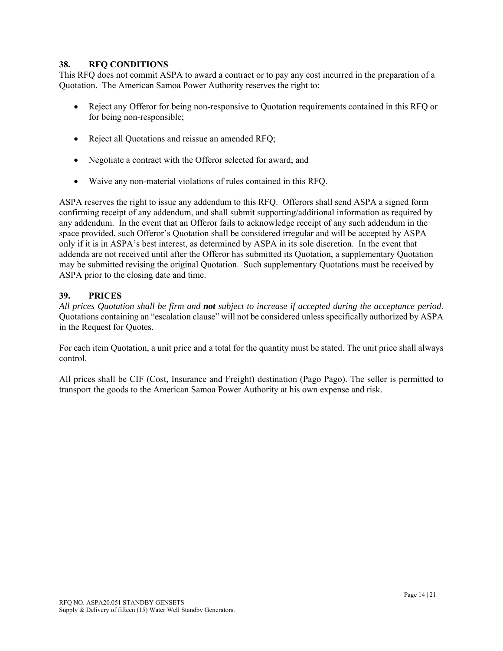### **38. RFQ CONDITIONS**

This RFQ does not commit ASPA to award a contract or to pay any cost incurred in the preparation of a Quotation. The American Samoa Power Authority reserves the right to:

- Reject any Offeror for being non-responsive to Quotation requirements contained in this RFQ or for being non-responsible;
- Reject all Quotations and reissue an amended RFQ;
- Negotiate a contract with the Offeror selected for award; and
- Waive any non-material violations of rules contained in this RFQ.

ASPA reserves the right to issue any addendum to this RFQ. Offerors shall send ASPA a signed form confirming receipt of any addendum, and shall submit supporting/additional information as required by any addendum. In the event that an Offeror fails to acknowledge receipt of any such addendum in the space provided, such Offeror's Quotation shall be considered irregular and will be accepted by ASPA only if it is in ASPA's best interest, as determined by ASPA in its sole discretion. In the event that addenda are not received until after the Offeror has submitted its Quotation, a supplementary Quotation may be submitted revising the original Quotation. Such supplementary Quotations must be received by ASPA prior to the closing date and time.

### **39. PRICES**

*All prices Quotation shall be firm and not subject to increase if accepted during the acceptance period*. Quotations containing an "escalation clause" will not be considered unless specifically authorized by ASPA in the Request for Quotes.

For each item Quotation, a unit price and a total for the quantity must be stated. The unit price shall always control.

All prices shall be CIF (Cost, Insurance and Freight) destination (Pago Pago). The seller is permitted to transport the goods to the American Samoa Power Authority at his own expense and risk.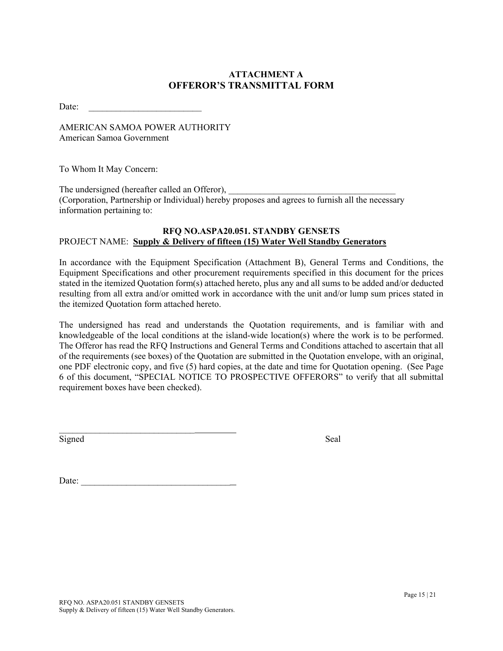# **ATTACHMENT A OFFEROR'S TRANSMITTAL FORM**

Date:  $\frac{1}{\sqrt{1-\frac{1}{2}}}\left\{ \frac{1}{2}, \frac{1}{2}, \frac{1}{2}, \frac{1}{2}\right\}$ 

AMERICAN SAMOA POWER AUTHORITY American Samoa Government

To Whom It May Concern:

The undersigned (hereafter called an Offeror), (Corporation, Partnership or Individual) hereby proposes and agrees to furnish all the necessary information pertaining to:

### **RFQ NO.ASPA20.051. STANDBY GENSETS**  PROJECT NAME: **Supply & Delivery of fifteen (15) Water Well Standby Generators**

In accordance with the Equipment Specification (Attachment B), General Terms and Conditions, the Equipment Specifications and other procurement requirements specified in this document for the prices stated in the itemized Quotation form(s) attached hereto, plus any and all sums to be added and/or deducted resulting from all extra and/or omitted work in accordance with the unit and/or lump sum prices stated in the itemized Quotation form attached hereto.

The undersigned has read and understands the Quotation requirements, and is familiar with and knowledgeable of the local conditions at the island-wide location(s) where the work is to be performed. The Offeror has read the RFQ Instructions and General Terms and Conditions attached to ascertain that all of the requirements (see boxes) of the Quotation are submitted in the Quotation envelope, with an original, one PDF electronic copy, and five (5) hard copies, at the date and time for Quotation opening. (See Page 6 of this document, "SPECIAL NOTICE TO PROSPECTIVE OFFERORS" to verify that all submittal requirement boxes have been checked).

Signed Seal

Date:

 $\mathcal{L}=\mathcal{L}=\mathcal{L}=\mathcal{L}=\mathcal{L}=\mathcal{L}=\mathcal{L}=\mathcal{L}=\mathcal{L}=\mathcal{L}=\mathcal{L}=\mathcal{L}=\mathcal{L}=\mathcal{L}=\mathcal{L}=\mathcal{L}=\mathcal{L}=\mathcal{L}=\mathcal{L}=\mathcal{L}=\mathcal{L}=\mathcal{L}=\mathcal{L}=\mathcal{L}=\mathcal{L}=\mathcal{L}=\mathcal{L}=\mathcal{L}=\mathcal{L}=\mathcal{L}=\mathcal{L}=\mathcal{L}=\mathcal{L}=\mathcal{L}=\mathcal{L}=\mathcal{L}=\mathcal{$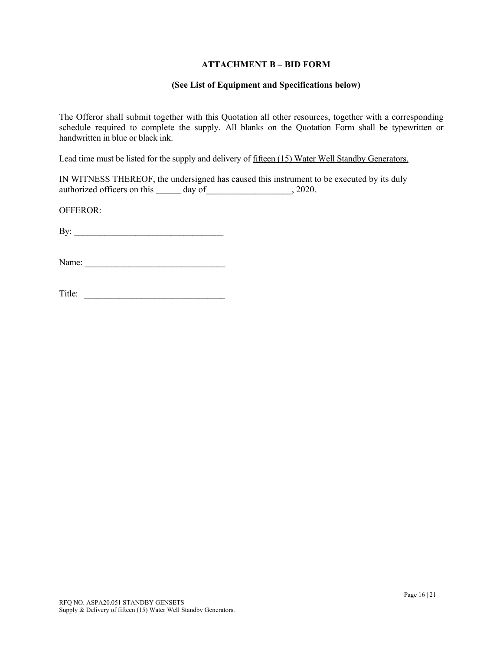#### **ATTACHMENT B – BID FORM**

#### **(See List of Equipment and Specifications below)**

The Offeror shall submit together with this Quotation all other resources, together with a corresponding schedule required to complete the supply. All blanks on the Quotation Form shall be typewritten or handwritten in blue or black ink.

Lead time must be listed for the supply and delivery of fifteen (15) Water Well Standby Generators.

IN WITNESS THEREOF, the undersigned has caused this instrument to be executed by its duly authorized officers on this day of  $\qquad \qquad , 2020.$ 

OFFEROR:

By: \_\_\_\_\_\_\_\_\_\_\_\_\_\_\_\_\_\_\_\_\_\_\_\_\_\_\_\_\_\_\_\_\_\_

Name: \_\_\_\_\_\_\_\_\_\_\_\_\_\_\_\_\_\_\_\_\_\_\_\_\_\_\_\_\_\_\_\_

| m.<br>.<br>۱+۱۵۰<br>. . |  |
|-------------------------|--|
|                         |  |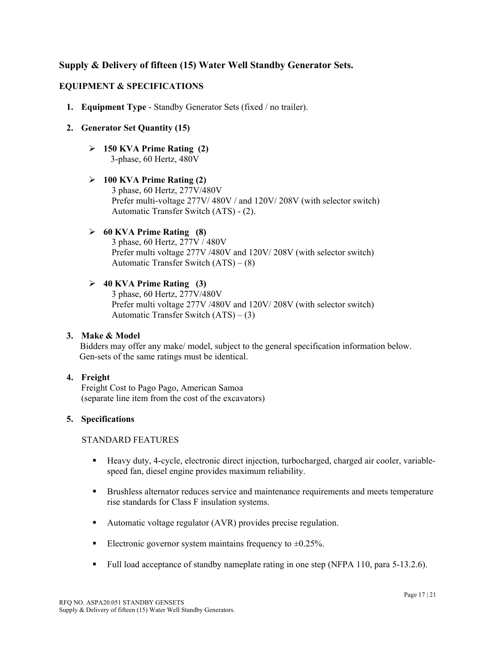# **Supply & Delivery of fifteen (15) Water Well Standby Generator Sets.**

### **EQUIPMENT & SPECIFICATIONS**

**1. Equipment Type** - Standby Generator Sets (fixed / no trailer).

#### **2. Generator Set Quantity (15)**

 **150 KVA Prime Rating (2)** 3-phase, 60 Hertz, 480V

 **100 KVA Prime Rating (2)** 3 phase, 60 Hertz, 277V/480V Prefer multi-voltage 277V/480V / and 120V/208V (with selector switch) Automatic Transfer Switch (ATS) - (2).

#### **60 KVA Prime Rating (8)**

3 phase, 60 Hertz, 277V / 480V Prefer multi voltage 277V /480V and 120V/ 208V (with selector switch) Automatic Transfer Switch (ATS) – (8)

#### **40 KVA Prime Rating (3)**

3 phase, 60 Hertz, 277V/480V Prefer multi voltage 277V /480V and 120V/ 208V (with selector switch) Automatic Transfer Switch (ATS) – (3)

#### **3. Make & Model**

 Bidders may offer any make/ model, subject to the general specification information below. Gen-sets of the same ratings must be identical.

### **4. Freight**

Freight Cost to Pago Pago, American Samoa (separate line item from the cost of the excavators)

#### **5. Specifications**

#### STANDARD FEATURES

- Heavy duty, 4-cycle, electronic direct injection, turbocharged, charged air cooler, variablespeed fan, diesel engine provides maximum reliability.
- **Brushless alternator reduces service and maintenance requirements and meets temperature** rise standards for Class F insulation systems.
- Automatic voltage regulator (AVR) provides precise regulation.
- Electronic governor system maintains frequency to  $\pm 0.25\%$ .
- Full load acceptance of standby nameplate rating in one step (NFPA 110, para 5-13.2.6).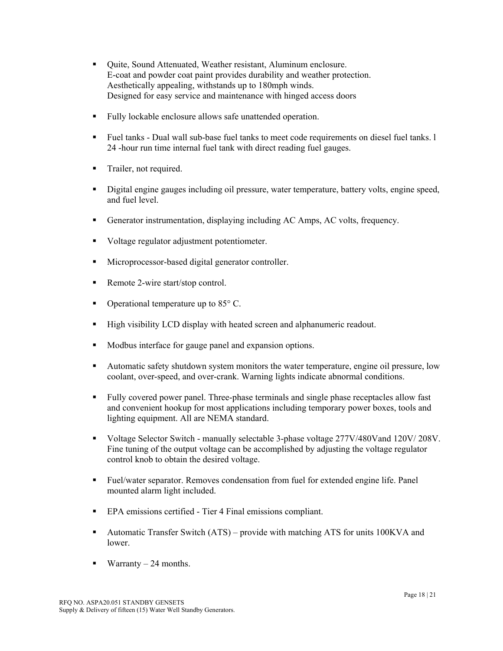- Ouite, Sound Attenuated, Weather resistant, Aluminum enclosure. E-coat and powder coat paint provides durability and weather protection. Aesthetically appealing, withstands up to 180mph winds. Designed for easy service and maintenance with hinged access doors
- Fully lockable enclosure allows safe unattended operation.
- Fuel tanks Dual wall sub-base fuel tanks to meet code requirements on diesel fuel tanks. l 24 -hour run time internal fuel tank with direct reading fuel gauges.
- **Trailer, not required.**
- Digital engine gauges including oil pressure, water temperature, battery volts, engine speed, and fuel level.
- Generator instrumentation, displaying including AC Amps, AC volts, frequency.
- Voltage regulator adjustment potentiometer.
- **Microprocessor-based digital generator controller.**
- Remote 2-wire start/stop control.
- Operational temperature up to  $85^{\circ}$  C.
- High visibility LCD display with heated screen and alphanumeric readout.
- Modbus interface for gauge panel and expansion options.
- Automatic safety shutdown system monitors the water temperature, engine oil pressure, low coolant, over-speed, and over-crank. Warning lights indicate abnormal conditions.
- Fully covered power panel. Three-phase terminals and single phase receptacles allow fast and convenient hookup for most applications including temporary power boxes, tools and lighting equipment. All are NEMA standard.
- Voltage Selector Switch manually selectable 3-phase voltage 277V/480Vand 120V/ 208V. Fine tuning of the output voltage can be accomplished by adjusting the voltage regulator control knob to obtain the desired voltage.
- Fuel/water separator. Removes condensation from fuel for extended engine life. Panel mounted alarm light included.
- EPA emissions certified Tier 4 Final emissions compliant.
- Automatic Transfer Switch (ATS) provide with matching ATS for units 100KVA and lower.
- Warranty  $-24$  months.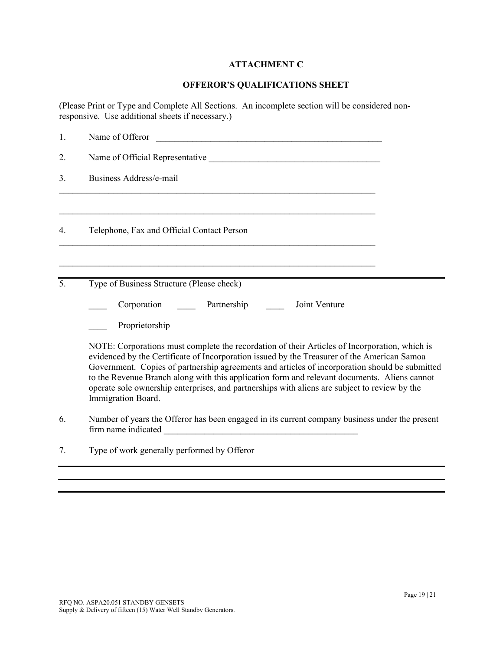### **ATTACHMENT C**

# **OFFEROR'S QUALIFICATIONS SHEET**

(Please Print or Type and Complete All Sections. An incomplete section will be considered nonresponsive. Use additional sheets if necessary.)

| 1. | Name of Offeror                                                                                                                                                                                                                                                                                                                                                                                                                                                                                                       |  |  |  |
|----|-----------------------------------------------------------------------------------------------------------------------------------------------------------------------------------------------------------------------------------------------------------------------------------------------------------------------------------------------------------------------------------------------------------------------------------------------------------------------------------------------------------------------|--|--|--|
| 2. |                                                                                                                                                                                                                                                                                                                                                                                                                                                                                                                       |  |  |  |
| 3. | Business Address/e-mail                                                                                                                                                                                                                                                                                                                                                                                                                                                                                               |  |  |  |
| 4. | Telephone, Fax and Official Contact Person                                                                                                                                                                                                                                                                                                                                                                                                                                                                            |  |  |  |
| 5. | Type of Business Structure (Please check)                                                                                                                                                                                                                                                                                                                                                                                                                                                                             |  |  |  |
|    | Corporation Partnership<br>Joint Venture                                                                                                                                                                                                                                                                                                                                                                                                                                                                              |  |  |  |
|    | Proprietorship                                                                                                                                                                                                                                                                                                                                                                                                                                                                                                        |  |  |  |
|    | NOTE: Corporations must complete the recordation of their Articles of Incorporation, which is<br>evidenced by the Certificate of Incorporation issued by the Treasurer of the American Samoa<br>Government. Copies of partnership agreements and articles of incorporation should be submitted<br>to the Revenue Branch along with this application form and relevant documents. Aliens cannot<br>operate sole ownership enterprises, and partnerships with aliens are subject to review by the<br>Immigration Board. |  |  |  |
| 6. | Number of years the Offeror has been engaged in its current company business under the present<br>firm name indicated<br><u> 1980 - Jan Barbarat, martin da basar da basar da basar da basar da basar da basar da basar da basar da basar</u>                                                                                                                                                                                                                                                                         |  |  |  |

7. Type of work generally performed by Offeror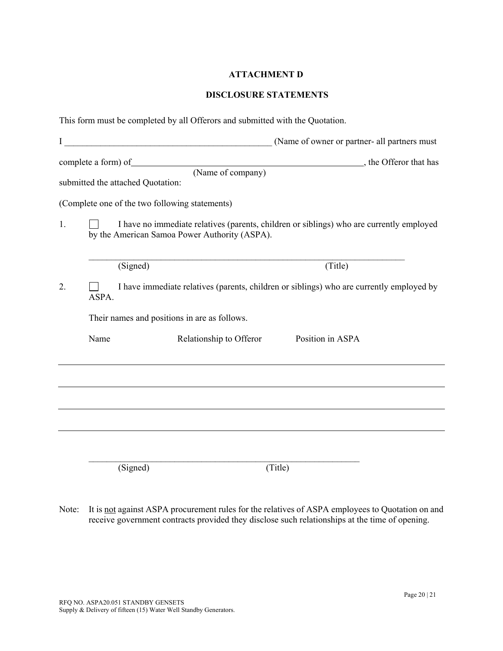### **ATTACHMENT D**

### **DISCLOSURE STATEMENTS**

|    |       | This form must be completed by all Offerors and submitted with the Quotation. |                                                                                          |
|----|-------|-------------------------------------------------------------------------------|------------------------------------------------------------------------------------------|
| I  |       |                                                                               | (Name of owner or partner- all partners must                                             |
|    |       |                                                                               | complete a form) of (Name of company), the Offeror that has (Name of company)            |
|    |       | submitted the attached Quotation:                                             |                                                                                          |
|    |       | (Complete one of the two following statements)                                |                                                                                          |
| 1. |       | by the American Samoa Power Authority (ASPA).                                 | I have no immediate relatives (parents, children or siblings) who are currently employed |
|    |       | (Signed)                                                                      | (Title)                                                                                  |
| 2. | ASPA. |                                                                               | I have immediate relatives (parents, children or siblings) who are currently employed by |
|    |       | Their names and positions in are as follows.                                  |                                                                                          |
|    | Name  | Relationship to Offeror                                                       | Position in ASPA                                                                         |
|    |       |                                                                               |                                                                                          |
|    |       |                                                                               |                                                                                          |
|    |       |                                                                               |                                                                                          |
|    |       |                                                                               |                                                                                          |
|    |       | (Signed)                                                                      | (Title)                                                                                  |

Note: It is not against ASPA procurement rules for the relatives of ASPA employees to Quotation on and receive government contracts provided they disclose such relationships at the time of opening.